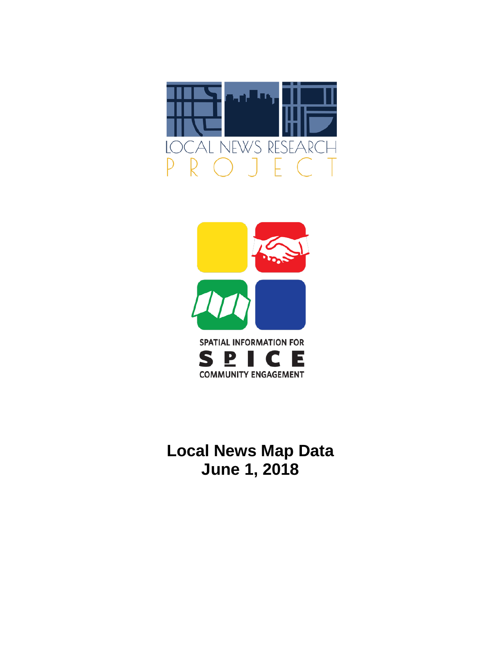



# **Local News Map Data June 1, 2018**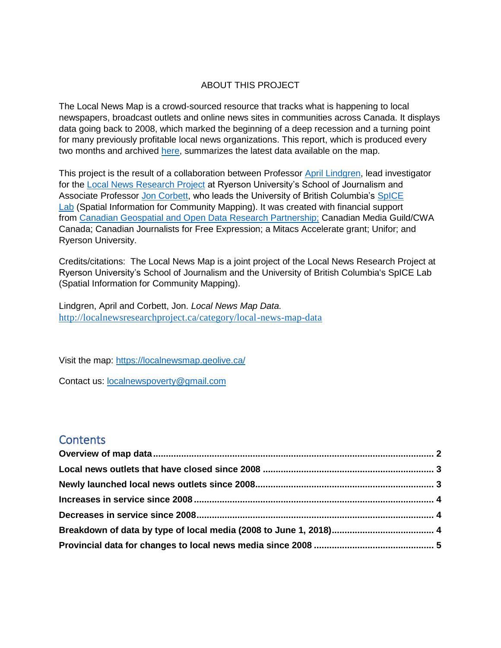### ABOUT THIS PROJECT

The Local News Map is a crowd-sourced resource that tracks what is happening to local newspapers, broadcast outlets and online news sites in communities across Canada. It displays data going back to 2008, which marked the beginning of a deep recession and a turning point for many previously profitable local news organizations. This report, which is produced every two months and archived [here,](http://localnewsresearchproject.ca/category/local-news-map-data) summarizes the latest data available on the map.

This project is the result of a collaboration between Professor [April Lindgren,](http://rsj.journalism.ryerson.ca/team/april-lindgren/) lead investigator for the [Local News Research Project](http://localnewsresearchproject.ca/) at Ryerson University's School of Journalism and Associate Professor [Jon Corbett,](http://joncorbett.com/JonCorbett/Home.html) who leads the University of British Columbia's [SpICE](http://spice.geolive.ca/)  [Lab](http://spice.geolive.ca/) (Spatial Information for Community Mapping). It was created with financial support from [Canadian Geospatial and Open Data Research Partnership;](http://geothink.ca/) Canadian Media Guild/CWA Canada; Canadian Journalists for Free Expression; a Mitacs Accelerate grant; Unifor; and Ryerson University.

Credits/citations: The Local News Map is a joint project of the Local News Research Project at Ryerson University's School of Journalism and the University of British Columbia's SpICE Lab (Spatial Information for Community Mapping).

Lindgren, April and Corbett, Jon. *Local News Map Data.*  <http://localnewsresearchproject.ca/category/local-news-map-data>

Visit the map:<https://localnewsmap.geolive.ca/>

Contact us: **[localnewspoverty@gmail.com](mailto:localnewspoverty@gmail.com)** 

### **Contents**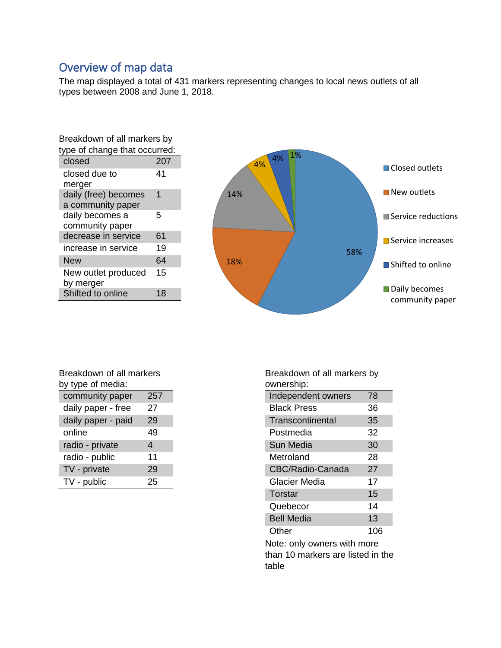# <span id="page-2-0"></span>Overview of map data

The map displayed a total of 431 markers representing changes to local news outlets of all types between 2008 and June 1, 2018.

| Breakdown of all markers by   |     |  |  |  |
|-------------------------------|-----|--|--|--|
| type of change that occurred: |     |  |  |  |
| closed                        | 207 |  |  |  |
| closed due to                 | 41  |  |  |  |
| merger                        |     |  |  |  |
| daily (free) becomes          | 1   |  |  |  |
| a community paper             |     |  |  |  |
| daily becomes a               | 5   |  |  |  |
| community paper               |     |  |  |  |
| decrease in service           | 61  |  |  |  |
| increase in service           | 19  |  |  |  |
| <b>New</b>                    | 64  |  |  |  |
| New outlet produced           | 15  |  |  |  |
| by merger                     |     |  |  |  |
| Shifted to online             | 18  |  |  |  |



| Breakdown of all markers |     |  |  |  |
|--------------------------|-----|--|--|--|
| by type of media:        |     |  |  |  |
| community paper          | 257 |  |  |  |
| daily paper - free       | 27  |  |  |  |
| daily paper - paid       | 29  |  |  |  |
| online                   | 49  |  |  |  |
| radio - private          | 4   |  |  |  |
| radio - public           | 11  |  |  |  |
| TV - private             | 29  |  |  |  |
| TV - public              | 25  |  |  |  |

Breakdown of all markers by ownership:

| Independent owners | 78  |
|--------------------|-----|
| <b>Black Press</b> | 36  |
| Transcontinental   | 35  |
| Postmedia          | 32  |
| Sun Media          | 30  |
| Metroland          | 28  |
| CBC/Radio-Canada   | 27  |
| Glacier Media      | 17  |
| Torstar            | 15  |
| Quebecor           | 14  |
| <b>Bell Media</b>  | 13  |
| Other              | 106 |

Note: only owners with more than 10 markers are listed in the table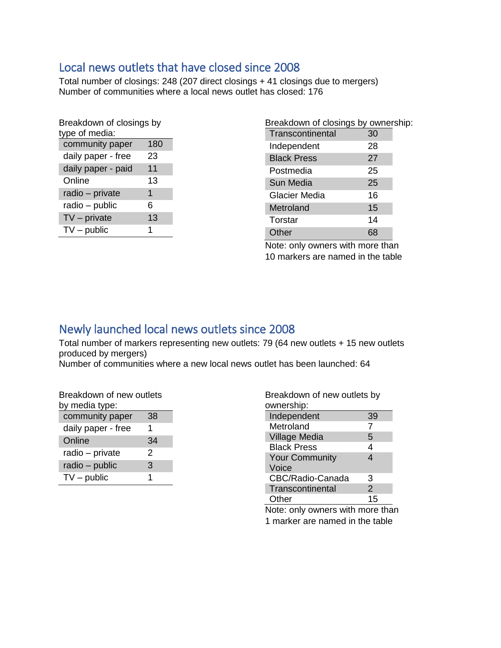# <span id="page-3-0"></span>Local news outlets that have closed since 2008

Total number of closings: 248 (207 direct closings + 41 closings due to mergers) Number of communities where a local news outlet has closed: 176

| Breakdown of closings by<br>type of media: |  |  |  |  |  |
|--------------------------------------------|--|--|--|--|--|
| 180                                        |  |  |  |  |  |
| 23                                         |  |  |  |  |  |
| 11                                         |  |  |  |  |  |
| 13                                         |  |  |  |  |  |
| 1                                          |  |  |  |  |  |
| 6                                          |  |  |  |  |  |
| 13                                         |  |  |  |  |  |
| 1                                          |  |  |  |  |  |
|                                            |  |  |  |  |  |

| Breakdown of closings by ownership: |    |  |
|-------------------------------------|----|--|
| Transcontinental                    | 30 |  |
| Independent                         | 28 |  |
| <b>Black Press</b>                  | 27 |  |
| Postmedia                           | 25 |  |
| Sun Media                           | 25 |  |
| Glacier Media                       | 16 |  |
| Metroland                           | 15 |  |
| Torstar                             | 14 |  |
| Other                               |    |  |
|                                     |    |  |

Note: only owners with more than 10 markers are named in the table

## <span id="page-3-1"></span>Newly launched local news outlets since 2008

Total number of markers representing new outlets: 79 (64 new outlets + 15 new outlets produced by mergers)

Number of communities where a new local news outlet has been launched: 64

| Breakdown of new outlets<br>by media type: |    |
|--------------------------------------------|----|
| community paper                            | 38 |
| daily paper - free                         | 1  |
| Online                                     | 34 |
| radio - private                            | 2  |
| radio - public                             | 3  |
| $TV$ – public                              | 1  |

| Breakdown of new outlets by<br>ownership: |    |
|-------------------------------------------|----|
| Independent                               | 39 |
| Metroland                                 | 7  |
| <b>Village Media</b>                      | 5  |
| <b>Black Press</b>                        | 4  |
| <b>Your Community</b>                     | 4  |
| Voice                                     |    |
| CBC/Radio-Canada                          | З  |
| Transcontinental                          | 2  |
| Other                                     | 15 |

Note: only owners with more than 1 marker are named in the table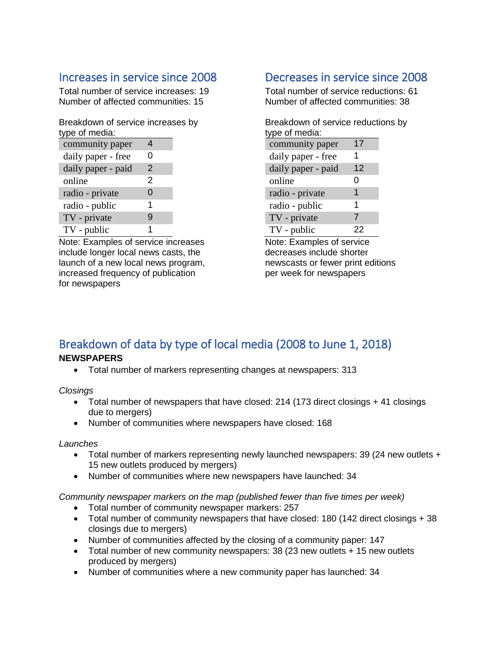# <span id="page-4-0"></span>Increases in service since 2008

Total number of service increases: 19 Number of affected communities: 15

Breakdown of service increases by type of media:

| community paper    | 4             |
|--------------------|---------------|
| daily paper - free | O             |
| daily paper - paid | $\mathcal{P}$ |
| online             | 2             |
| radio - private    | 0             |
| radio - public     | 1             |
| TV - private       | g             |
| TV - public        | 1             |

Note: Examples of service increases include longer local news casts, the launch of a new local news program, increased frequency of publication for newspapers

# <span id="page-4-1"></span>Decreases in service since 2008

Total number of service reductions: 61 Number of affected communities: 38

Breakdown of service reductions by type of media: community paper 17

| daily paper - free |    |
|--------------------|----|
| daily paper - paid | 12 |
| online             | ი  |
| radio - private    | 1  |
| radio - public     | 1  |
| TV - private       | 7  |
| TV - public        | 22 |

Note: Examples of service decreases include shorter newscasts or fewer print editions per week for newspapers

### <span id="page-4-2"></span>Breakdown of data by type of local media (2008 to June 1, 2018) **NEWSPAPERS**

• Total number of markers representing changes at newspapers: 313

*Closings*

- Total number of newspapers that have closed: 214 (173 direct closings + 41 closings due to mergers)
- Number of communities where newspapers have closed: 168

### *Launches*

- Total number of markers representing newly launched newspapers: 39 (24 new outlets + 15 new outlets produced by mergers)
- Number of communities where new newspapers have launched: 34

*Community newspaper markers on the map (published fewer than five times per week)* 

- Total number of community newspaper markers: 257
- Total number of community newspapers that have closed: 180 (142 direct closings + 38 closings due to mergers)
- Number of communities affected by the closing of a community paper: 147
- Total number of new community newspapers: 38 (23 new outlets + 15 new outlets produced by mergers)
- Number of communities where a new community paper has launched: 34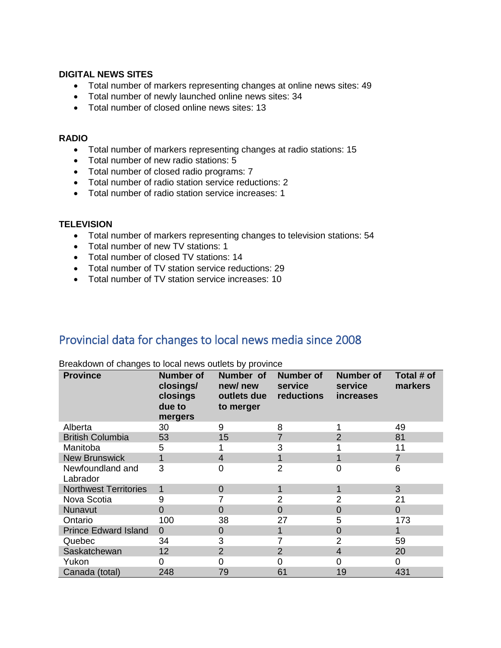#### **DIGITAL NEWS SITES**

- Total number of markers representing changes at online news sites: 49
- Total number of newly launched online news sites: 34
- Total number of closed online news sites: 13

#### **RADIO**

- Total number of markers representing changes at radio stations: 15
- Total number of new radio stations: 5
- Total number of closed radio programs: 7
- Total number of radio station service reductions: 2
- Total number of radio station service increases: 1

#### **TELEVISION**

- Total number of markers representing changes to television stations: 54
- Total number of new TV stations: 1
- Total number of closed TV stations: 14
- Total number of TV station service reductions: 29
- Total number of TV station service increases: 10

## <span id="page-5-0"></span>Provincial data for changes to local news media since 2008

| <b>Province</b>              | <b>Number of</b><br>closings/<br>closings<br>due to<br>mergers | Number of<br>new/new<br>outlets due<br>to merger | <b>Number of</b><br>service<br>reductions | <b>Number of</b><br>service<br>increases | Total # of<br>markers |
|------------------------------|----------------------------------------------------------------|--------------------------------------------------|-------------------------------------------|------------------------------------------|-----------------------|
| Alberta                      | 30                                                             | 9                                                | 8                                         |                                          | 49                    |
| <b>British Columbia</b>      | 53                                                             | 15                                               |                                           | $\overline{2}$                           | 81                    |
| Manitoba                     | 5                                                              |                                                  | 3                                         |                                          | 11                    |
| <b>New Brunswick</b>         | $\mathbf 1$                                                    | $\overline{4}$                                   |                                           | 1                                        | $\overline{7}$        |
| Newfoundland and<br>Labrador | 3                                                              | 0                                                | 2                                         | 0                                        | 6                     |
| <b>Northwest Territories</b> | 1                                                              | 0                                                |                                           | 1                                        | 3                     |
| Nova Scotia                  | 9                                                              |                                                  | 2                                         | 2                                        | 21                    |
| Nunavut                      | 0                                                              | 0                                                | $\Omega$                                  | $\overline{0}$                           | $\overline{0}$        |
| Ontario                      | 100                                                            | 38                                               | 27                                        | 5                                        | 173                   |
| <b>Prince Edward Island</b>  | $\Omega$                                                       | 0                                                |                                           | $\overline{0}$                           |                       |
| Quebec                       | 34                                                             | 3                                                |                                           | $\overline{2}$                           | 59                    |
| Saskatchewan                 | 12                                                             | $\overline{2}$                                   | 2                                         | 4                                        | 20                    |
| Yukon                        | 0                                                              | 0                                                | 0                                         | 0                                        | 0                     |
| Canada (total)               | 248                                                            | 79                                               | 61                                        | 19                                       | 431                   |

Breakdown of changes to local news outlets by province